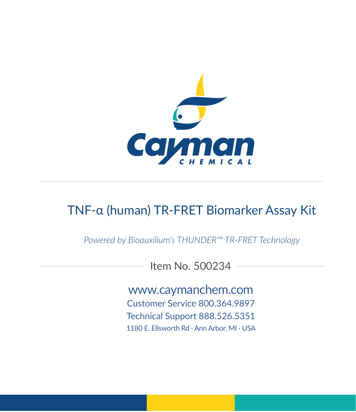

# TNF-α (human) TR-FRET Biomarker Assay Kit

*Powered by Bioauxilium's THUNDER™ TR-FRET Technology*

Item No. 500234

www.caymanchem.com Customer Service 800.364.9897 Technical Support 888.526.5351

1180 E. Ellsworth Rd · Ann Arbor, MI · USA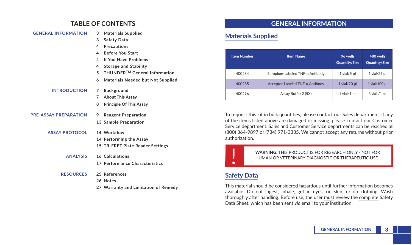### **TABLE OF CONTENTS**

| <b>GENERAL INFORMATION</b>   | <b>Materials Supplied</b><br>3                |
|------------------------------|-----------------------------------------------|
|                              | <b>Safety Data</b><br>3                       |
|                              | <b>Precautions</b><br>4                       |
|                              | <b>Before You Start</b><br>4                  |
|                              | If You Have Problems<br>4                     |
|                              | <b>Storage and Stability</b><br>4             |
|                              | THUNDER™ General Information<br>5.            |
|                              | 6<br><b>Materials Needed but Not Supplied</b> |
| <b>INTRODUCTION</b>          | <b>Background</b><br>7                        |
|                              | <b>About This Assay</b><br>$7^{\circ}$        |
|                              | <b>Principle Of This Assay</b><br>8           |
| <b>PRE-ASSAY PREPARATION</b> | <b>Reagent Preparation</b><br>9               |
|                              | 13 Sample Preparation                         |
| <b>ASSAY PROTOCOL</b>        | 14 Workflow                                   |
|                              | 14 Performing the Assay                       |
|                              | 15 TR-FRET Plate Reader Settings              |
| <b>ANALYSIS</b>              | 16 Calculations                               |
|                              | 17 Performance Characteristics                |
| <b>RESOURCES</b>             | 25 References                                 |
|                              | 26 Notes                                      |
|                              | 27 Warranty and Limitation of Remedy          |

### **GENERAL INFORMATION**

## **Materials Supplied**

| <b>Item Number</b> | <b>Item Name</b>                | 96 wells<br>Quantity/Size | 480 wells<br><b>Quantity/Size</b> |
|--------------------|---------------------------------|---------------------------|-----------------------------------|
| 400284             | Europium-Labeled TNF-α Antibody | $1$ vial/ $5$ µl          | $1$ vial/25 $\mu$ l               |
| 400285             | Acceptor-Labeled TNF-a Antibody | $1$ vial/20 $\mu$         | 1 vial/100 µl                     |
| 400296             | Assay Buffer 2 (5X)             | $1$ vial/ $1$ ml          | 3 vials/1 ml                      |

To request this kit in bulk quantities, please contact our Sales department. If any of the items listed above are damaged or missing, please contact our Customer Service department. Sales and Customer Service departments can be reached at (800) 364-9897 or (734) 971-3335. We cannot accept any returns without prior authorization.



! **WARNING:** THIS PRODUCT IS FOR RESEARCH ONLY - NOT FOR HUMAN OR VETERINARY DIAGNOSTIC OR THERAPEUTIC USE.

# **Safety Data**

This material should be considered hazardous until further information becomes available. Do not ingest, inhale, get in eyes, on skin, or on clothing. Wash thoroughly after handling. Before use, the user must review the complete Safety Data Sheet, which has been sent *via* email to your institution.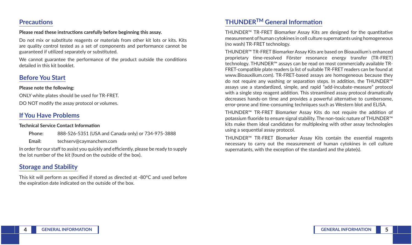### **Precautions**

#### **Please read these instructions carefully before beginning this assay.**

Do not mix or substitute reagents or materials from other kit lots or kits. Kits are quality control tested as a set of components and performance cannot be guaranteed if utilized separately or substituted.

We cannot guarantee the performance of the product outside the conditions detailed in this kit booklet.

## **Before You Start**

#### **Please note the following:**

ONLY white plates should be used for TR-FRET. DO NOT modify the assay protocol or volumes.

## **If You Have Problems**

#### **Technical Service Contact Information**

| Phone: | 888-526-5351 (USA and Canada only) or 734-975-3888 |
|--------|----------------------------------------------------|
| Email: | techserv@cavmanchem.com                            |

In order for our staff to assist you quickly and efficiently, please be ready to supply the lot number of the kit (found on the outside of the box).

# **Storage and Stability**

This kit will perform as specified if stored as directed at -80°C and used before the expiration date indicated on the outside of the box.

# **THUNDERTM General Information**

THUNDER™ TR-FRET Biomarker Assay Kits are designed for the quantitative measurement of human cytokines in cell culture supernatants using homogeneous (no wash) TR-FRET technology.

THUNDER™ TR-FRET Biomarker Assay Kits are based on Bioauxilium's enhanced proprietary time-resolved Förster resonance energy transfer (TR-FRET) technology. THUNDER™ assays can be read on most commercially available TR-FRET-compatible plate readers (a list of suitable TR-FRET readers can be found at www.Bioauxilium.com). TR-FRET-based assays are homogeneous because they do not require any washing or separation steps. In addition, the THUNDER™ assays use a standardized, simple, and rapid "add-incubate-measure" protocol with a single step reagent addition. This streamlined assay protocol dramatically decreases hands-on time and provides a powerful alternative to cumbersome, error-prone and time-consuming techniques such as Western blot and ELISA.

THUNDER™ TR-FRET Biomarker Assay Kits do not require the addition of potassium fluoride to ensure signal stability. The non-toxic nature of THUNDER™ kits make them ideal candidates for multiplexing with other assay technologies using a sequential assay protocol.

THUNDER™ TR-FRET Biomarker Assay Kits contain the essential reagents necessary to carry out the measurement of human cytokines in cell culture supernatants, with the exception of the standard and the plate(s).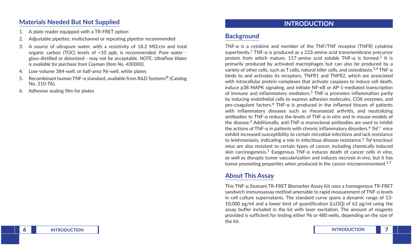### **Materials Needed But Not Supplied**

- 1. A plate reader equipped with a TR-FRET option
- 2. Adjustable pipettes: multichannel or repeating pipettor recommended
- 3. A source of ultrapure water, with a resistivity of 18.2 MΩ·cm and total organic carbon (TOC) levels of <10 ppb, is recommended. Pure water glass-distilled or deionized - may not be acceptable. *NOTE: UltraPure Water is available for purchase from Cayman (Item No. 400000).*
- 4. Low-volume 384-well, or half-area 96-well, white plates
- 5. Recombinant human TNF-α standard, available from R&D Systems® (Catalog No. 210-TA).
- 6. Adhesive sealing film for plates

# **INTRODUCTION**

# **Background**

TNF-α is a cytokine and member of the TNF/TNF receptor (TNFR) cytokine superfamily.1 TNF-α is produced as a 233-amino acid transmembrane precursor protein from which mature, 157-amino acid soluble TNF- $\alpha$  is formed.<sup>2</sup> It is primarily produced by activated macrophages but can also be produced by a variety of other cells, such as T cells, natural killer cells, and osteoblasts.3,4 TNF-α binds to and activates its receptors, TNFR1 and TNFR2, which are associated with intracellular protein complexes that activate caspases to induce cell death, induce p38 MAPK signaling, and initiate NF-κB or AP-1-mediated transcription of immune and inflammatory mediators.5 TNF-α promotes inflammation partly by inducing endothelial cells to express adhesion molecules, COX enzymes, and pro-coagulant factors.<sup>4</sup> TNF- $\alpha$  is produced in the inflamed tissues of patients with inflammatory diseases such as rheumatoid arthritis, and neutralizing antibodies to TNF-α reduce the levels of TNF-α *in vitro* and in mouse models of the disease.<sup>4</sup> Additionally, anti-TNF- $\alpha$  monoclonal antibodies are used to inhibit the actions of TNF-α in patients with chronic inflammatory disorders.<sup>6</sup> *Tnf-/-* mice exhibit increased susceptibility to certain microbial infections and lack resistance to leishmaniasis, indicating a role in infectious disease resistance.<sup>5</sup> *Tnf* knockout mice are also resistant to certain types of cancer, including chemically induced skin carcinogenesis.1 Exogenous TNF-α induces death of cancer cells *in vitro*, as well as disrupts tumor vascularization and induces necrosis *in vivo*, but it has tumor promoting properties when produced in the cancer microenvironment.<sup>1,7</sup>

# **About This Assay**

This TNF-α (human) TR-FRET Biomarker Assay Kit uses a homogenous TR-FRET sandwich immunoassay method amenable to rapid measurement of TNF-α levels in cell culture supernatants. The standard curve spans a dynamic range of 13- 10,000 pg/ml and a lower limit of quantification (LLOQ) of 62 pg/ml using the assay buffer included in the kit with laser excitation. The amount of reagents provided is sufficient for testing either 96 or 480 wells, depending on the size of the kit.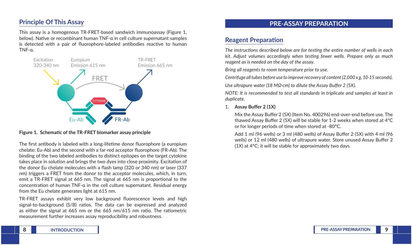## **Principle Of This Assay**

This assay is a homogenous TR-FRET-based sandwich immunoassay (Figure 1, below). Native or recombinant human TNF-α in cell culture supernatant samples is detected with a pair of fluorophore-labeled antibodies reactive to human TNF-α.



#### **Figure 1. Schematic of the TR-FRET biomarker assay principle**

The first antibody is labeled with a long-lifetime donor fluorophore (a europium chelate; Eu-Ab) and the second with a far-red acceptor fluorophore (FR-Ab). The binding of the two labeled antibodies to distinct epitopes on the target cytokine takes place in solution and brings the two dyes into close proximity. Excitation of the donor Eu chelate molecules with a flash lamp (320 or 340 nm) or laser (337 nm) triggers a FRET from the donor to the acceptor molecules, which, in turn, emit a TR-FRET signal at 665 nm. The signal at 665 nm is proportional to the concentration of human TNF-α in the cell culture supernatant. Residual energy from the Eu chelate generates light at 615 nm.

TR-FRET assays exhibit very low background fluorescence levels and high signal-to-background (S/B) ratios. The data can be expressed and analyzed as either the signal at 665 nm or the 665 nm/615 nm ratio. The ratiometric measurement further increases assay reproducibility and robustness.

### **PRE-ASSAY PREPARATION**

### **Reagent Preparation**

*The instructions described below are for testing the entire number of wells in each kit. Adjust volumes accordingly when testing fewer wells. Prepare only as much reagent as is needed on the day of the assay.*

*Bring all reagents to room temperature prior to use.*

*Centrifuge all tubes before use to improve recovery of content (2,000 x g, 10-15 seconds).*

*Use ultrapure water (18 MΩ·cm) to dilute the Assay Buffer 2 (5X).*

*NOTE: It is recommended to test all standards in triplicate and samples at least in duplicate.*

#### 1. **Assay Buffer 2 (1X)**

Mix the Assay Buffer 2 (5X) (Item No. 400296) end-over-end before use. The thawed Assay Buffer 2 (5X) will be stable for 1-2 weeks when stored at 4°C or for longer periods of time when stored at -80°C.

Add 1 ml (96 wells) or 3 ml (480 wells) of Assay Buffer 2 (5X) with 4 ml (96 wells) or 12 ml (480 wells) of ultrapure water. Store unused Assay Buffer 2 (1X) at 4°C; it will be stable for approximately two days.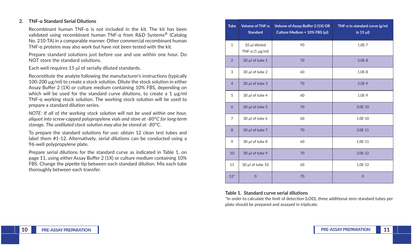#### **2. TNF-α Standard Serial Dilutions**

Recombinant human TNF-α is not included in the kit. The kit has been validated using recombinant human TNF-α from R&D Systems® (Catalog No. 210-TA) in a comparable manner. Other commercial recombinant human TNF-α proteins may also work but have not been tested with the kit.

Prepare standard solutions just before use and use within one hour. Do NOT store the standard solutions.

Each well requires 15 µl of serially diluted standards.

Reconstitute the analyte following the manufacturer's instructions (typically 100-200 µg/ml) to create a stock solution. Dilute the stock solution in either Assay Buffer 2 (1X) or culture medium containing 10% FBS, depending on which will be used for the standard curve dilutions, to create a 1 µg/ml TNF-α working stock solution. The working stock solution will be used to prepare a standard dilution series.

*NOTE: If all of the working stock solution will not be used within one hour, aliquot into screw-capped polypropylene vials and store at -80*°*C for long-term storage. The undiluted stock solution may also be stored at -80°C.*

To prepare the standard solutions for use: obtain 12 clean test tubes and label them #1-12. Alternatively, serial dilutions can be conducted using a 96-well polypropylene plate.

Prepare serial dilutions for the standard curve as indicated in Table 1, on page 11, using either Assay Buffer 2 (1X) or culture medium containing 10% FBS. Change the pipette tip between each standard dilution. Mix each tube thoroughly between each transfer.

| <b>Tube</b>    | Volume of TNF-a<br><b>Standard</b>       | Volume of Assay Buffer 2 (1X) OR<br>Culture Medium + 10% FBS (µl) | TNF-a in standard curve (g/ml<br>in 15 $\mu$ I) |
|----------------|------------------------------------------|-------------------------------------------------------------------|-------------------------------------------------|
| $\mathbf{1}$   | 10 µl diluted<br>TNF- $\alpha$ (1 µg/ml) | 90                                                                | $1.0E - 7$                                      |
| $\overline{2}$ | 30 µl of tube 1                          | 70                                                                | $3.0E - 8$                                      |
| 3              | 30 µl of tube 2                          | 60                                                                | $1.0E-8$                                        |
| $\overline{4}$ | $30 \mu l$ of tube 3                     | 70                                                                | $3.0E-9$                                        |
| 5              | 30 µl of tube 4                          | 60                                                                | $1.0E-9$                                        |
| 6              | $30 \mu$ of tube 5                       | 70                                                                | $3.0E-10$                                       |
| $\overline{7}$ | 30 µl of tube 6                          | 60                                                                | 1.0E-10                                         |
| 8              | 30 µl of tube 7                          | 70                                                                | $3.0E-11$                                       |
| 9              | 30 µl of tube 8                          | 60                                                                | 1.0E-11                                         |
| 10             | 30 µl of tube 9                          | 70                                                                | $3.0E-12$                                       |
| 11             | 30 µl of tube 10                         | 60                                                                | 1.0E-12                                         |
| $12*$          | $\overline{0}$                           | 70                                                                | $\Omega$                                        |

#### **Table 1. Standard curve serial dilutions**

\*In order to calculate the limit of detection (LOD), three additional zero-standard tubes per plate should be prepared and assayed in triplicate.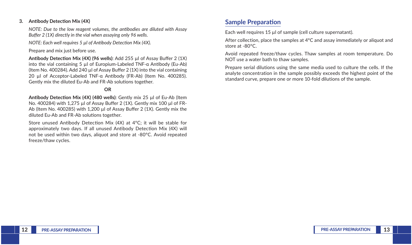#### **3. Antibody Detection Mix (4X)**

*NOTE: Due to the low reagent volumes, the antibodies are diluted with Assay Buffer 2 (1X) directly in the vial when assaying only 96 wells.*

*NOTE: Each well requires 5 µl of Antibody Detection Mix (4X).*

Prepare and mix just before use.

**Antibody Detection Mix (4X) (96 wells)**: Add 255 µl of Assay Buffer 2 (1X) into the vial containing 5 µl of Europium-Labeled TNF-α Antibody (Eu-Ab) (Item No. 400284). Add 240 µl of Assay Buffer 2 (1X) into the vial containing 20 µl of Acceptor-Labeled TNF-α Antibody (FR-Ab) (Item No. 400285). Gently mix the diluted Eu-Ab and FR-Ab solutions together.

#### **OR**

**Antibody Detection Mix (4X) (480 wells)**: Gently mix 25 µl of Eu-Ab (Item No. 400284) with 1,275 µl of Assay Buffer 2 (1X). Gently mix 100 µl of FR-Ab (Item No. 400285) with 1,200 ul of Assay Buffer 2 (1X). Gently mix the diluted Eu-Ab and FR-Ab solutions together.

Store unused Antibody Detection Mix (4X) at 4°C; it will be stable for approximately two days. If all unused Antibody Detection Mix (4X) will not be used within two days, aliquot and store at -80°C. Avoid repeated freeze/thaw cycles.

### **Sample Preparation**

Each well requires 15 µl of sample (cell culture supernatant).

After collection, place the samples at 4°C and assay immediately or aliquot and store at -80°C.

Avoid repeated freeze/thaw cycles. Thaw samples at room temperature. Do NOT use a water bath to thaw samples.

Prepare serial dilutions using the same media used to culture the cells. If the analyte concentration in the sample possibly exceeds the highest point of the standard curve, prepare one or more 10-fold dilutions of the sample.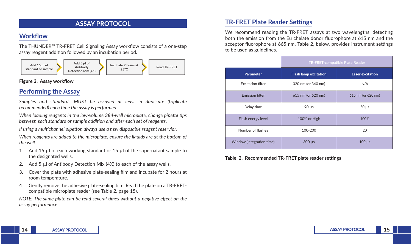### **ASSAY PROTOCOL**

# **Workflow**

The THUNDER™ TR-FRET Cell Signaling Assay workflow consists of a one-step assay reagent addition followed by an incubation period.



#### **Figure 2. Assay workflow**

# **Performing the Assay**

*Samples and standards MUST be assayed at least in duplicate (triplicate recommended) each time the assay is performed.*

*When loading reagents in the low-volume 384-well microplate, change pipette tips between each standard or sample addition and after each set of reagents.*

*If using a multichannel pipettor, always use a new disposable reagent reservior.*

*When reagents are added to the microplate, ensure the liquids are at the bottom of the well.*

- 1. Add 15 µl of each working standard or 15 µl of the supernatant sample to the designated wells.
- 2. Add 5 µl of Antibody Detection Mix (4X) to each of the assay wells.
- 3. Cover the plate with adhesive plate-sealing film and incubate for 2 hours at room temperature.
- 4. Gently remove the adhesive plate-sealing film. Read the plate on a TR-FRETcompatible microplate reader (see Table 2, page 15).

*NOTE: The same plate can be read several times without a negative effect on the assay performance.*

## **TR-FRET Plate Reader Settings**

We recommend reading the TR-FRET assays at two wavelengths, detecting both the emission from the Eu chelate donor fluorophore at 615 nm and the acceptor fluorophore at 665 nm. Table 2, below, provides instrument settings to be used as guidelines.

|                           | TR-FRET-compatible Plate Reader |                    |  |
|---------------------------|---------------------------------|--------------------|--|
| Parameter                 | <b>Flash lamp excitation</b>    | Laser excitation   |  |
| <b>Excitation filter</b>  | 320 nm (or 340 nm)              | N/A                |  |
| <b>Emission filter</b>    | 615 nm (or 620 nm)              | 615 nm (or 620 nm) |  |
| Delay time                | $90 \mu s$                      | $50 \mu s$         |  |
| Flash energy level        | 100% or High                    | 100%               |  |
| Number of flashes         | 100-200                         | 20                 |  |
| Window (integration time) | $300 \mu s$                     | $100 \mu s$        |  |

**Table 2. Recommended TR-FRET plate reader settings**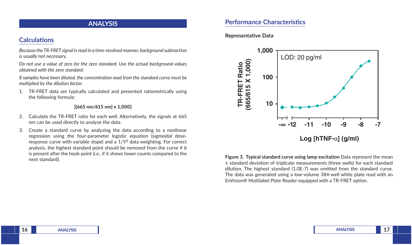### **ANALYSIS**

## **Calculations**

*Because the TR-FRET signal is read in a time-resolved manner, background subtraction is usually not necessary.*

*Do not use a value of zero for the zero standard. Use the actual background values obtained with the zero standard.*

*If samples have been diluted, the concentration read from the standard curve must be multiplied by the dilution factor.*

1. TR-FRET data are typically calculated and presented ratiometrically using the following formula:

### **[(665 nm/615 nm) x 1,000]**

- 2. Calculate the TR-FRET ratio for each well. Alternatively, the signals at 665 nm can be used directly to analyze the data.
- 3. Create a standard curve by analyzing the data according to a nonlinear regression using the four-parameter logistic equation (sigmoidal doseresponse curve with variable slope) and a  $1/Y<sup>2</sup>$  data weighting. For correct analysis, the highest standard point should be removed from the curve if it is present after the hook point (*i.e.*, if it shows lower counts compared to the next standard).

## **Performance Characteristics**

### **Representative Data**



**Figure 3. Typical standard curve using lamp excitation** Data represent the mean ± standard deviation of triplicate measurements (three wells) for each standard dilution. The highest standard (1.0E-7) was omitted from the standard curve. The data was generated using a low-volume 384-well white plate read with an EnVision® Multilabel Plate Reader equipped with a TR-FRET option.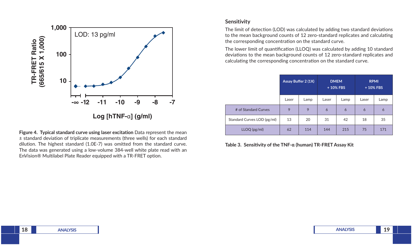

**Figure 4. Typical standard curve using laser excitation** Data represent the mean ± standard deviation of triplicate measurements (three wells) for each standard dilution. The highest standard (1.0E-7) was omitted from the standard curve. The data was generated using a low-volume 384-well white plate read with an EnVision® Multilabel Plate Reader equipped with a TR-FRET option.

### **Sensitivity**

The limit of detection (LOD) was calculated by adding two standard deviations to the mean background counts of 12 zero-standard replicates and calculating the corresponding concentration on the standard curve.

The lower limit of quantification (LLOQ) was calculated by adding 10 standard deviations to the mean background counts of 12 zero-standard replicates and calculating the corresponding concentration on the standard curve.

|                             | Assay Buffer 2 (1X) |      | <b>DMEM</b><br>+10% FBS |      | <b>RPMI</b><br>+10% FBS |      |
|-----------------------------|---------------------|------|-------------------------|------|-------------------------|------|
|                             | Laser               | Lamp | Laser                   | Lamp | Laser                   | Lamp |
| # of Standard Curves        | 9                   | 9    | 6                       | 6    | 6                       | 6    |
| Standard Curves LOD (pg/ml) | 13                  | 20   | 31                      | 42   | 18                      | 35   |
| LLOQ (pg/ml)                | 62                  | 114  | 144                     | 215  | 75                      | 171  |

**Table 3. Sensitivity of the TNF-α (human) TR-FRET Assay Kit**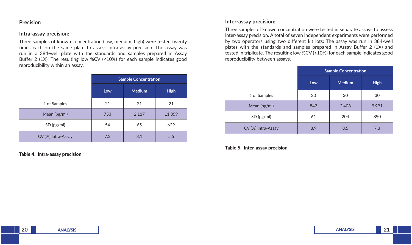### **Precision**

#### **Intra-assay precision:**

Three samples of known concentration (low, medium, high) were tested twenty times each on the same plate to assess intra-assay precision. The assay was run in a 384-well plate with the standards and samples prepared in Assay Buffer 2 (1X). The resulting low %CV (<10%) for each sample indicates good reproducibility within an assay.

|                    | <b>Sample Concentration</b> |               |             |
|--------------------|-----------------------------|---------------|-------------|
|                    | Low                         | <b>Medium</b> | <b>High</b> |
| # of Samples       | 21                          | 21            | 21          |
| Mean (pg/ml)       | 753                         | 2,117         | 11,359      |
| SD (pg/ml)         | 54                          | 65            | 629         |
| CV (%) Intra-Assay | 7.2                         | 3.1           | 5.5         |

**Table 4. Intra-assay precision**

### **Inter-assay precision:**

Three samples of known concentration were tested in separate assays to assess inter-assay precision. A total of seven independent experiments were performed by two operators using two different kit lots: The assay was run in 384-well plates with the standards and samples prepared in Assay Buffer 2 (1X) and tested in triplicate. The resulting low %CV (<10%) for each sample indicates good reproducibility between assays.

|                    | <b>Sample Concentration</b> |               |             |
|--------------------|-----------------------------|---------------|-------------|
|                    | Low                         | <b>Medium</b> | <b>High</b> |
| # of Samples       | 30                          | 30            | 30          |
| Mean (pg/ml)       | 842                         | 2,408         | 9,991       |
| SD (pg/ml)         | 61                          | 204           | 890         |
| CV (%) Intra-Assay | 8.9                         | 8.5           | 7.3         |

**Table 5. Inter-assay precision**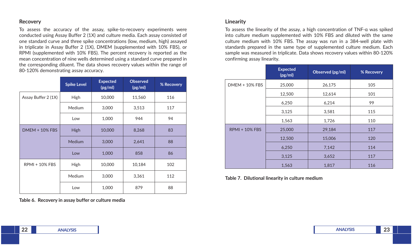### **Recovery**

To assess the accuracy of the assay, spike-to-recovery experiments were conducted using Assay Buffer 2 (1X) and culture media. Each assay consisted of one standard curve and three spike concentrations (low, medium, high) assayed in triplicate in Assay Buffer 2 (1X), DMEM (supplemented with 10% FBS), or RPMI (supplemented with 10% FBS). The percent recovery is reported as the mean concentration of nine wells determined using a standard curve prepared in the corresponding diluent. The data shows recovery values within the range of 80-120% demonstrating assay accuracy.

|                       | <b>Spike Level</b> | <b>Expected</b><br>(pg/ml) | <b>Observed</b><br>(pg/ml) | % Recovery |
|-----------------------|--------------------|----------------------------|----------------------------|------------|
| Assay Buffer 2 (1X)   | High               | 10,000                     | 11,560                     | 116        |
|                       | Medium             | 3,000                      | 3,513                      | 117        |
|                       | Low                | 1,000                      | 944                        | 94         |
| <b>DMEM + 10% FBS</b> | High               | 10,000                     | 8,268                      | 83         |
|                       | Medium             | 3,000                      | 2,641                      | 88         |
|                       | Low                | 1,000                      | 858                        | 86         |
| $RPMI + 10\% FBS$     | High               | 10,000                     | 10,184                     | 102        |
|                       | Medium             | 3,000                      | 3,361                      | 112        |
|                       | Low                | 1,000                      | 879                        | 88         |

**Table 6. Recovery in assay buffer or culture media**

### **Linearity**

To assess the linearity of the assay, a high concentration of TNF-α was spiked into culture medium supplemented with 10% FBS and diluted with the same culture medium with 10% FBS. The assay was run in a 384-well plate with standards prepared in the same type of supplemented culture medium. Each sample was measured in triplicate. Data shows recovery values within 80-120% confirming assay linearity.

|                       | <b>Expected</b><br>(pg/ml) | Observed (pg/ml) | % Recovery |
|-----------------------|----------------------------|------------------|------------|
| DMEM + 10% FBS        | 25,000                     | 26,175           | 105        |
|                       | 12,500                     | 12,614           | 101        |
|                       | 6,250                      | 6,214            | 99         |
|                       | 3,125                      | 3,581            | 115        |
|                       | 1,563                      | 1,726            | 110        |
| <b>RPMI + 10% FBS</b> | 25,000                     | 29,184           | 117        |
|                       | 12,500                     | 15,006           | 120        |
|                       | 6,250                      | 7,142            | 114        |
|                       | 3,125                      | 3,652            | 117        |
|                       | 1,563                      | 1,817            | 116        |

**Table 7. Dilutional linearity in culture medium**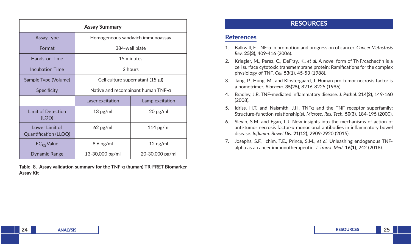| <b>Assay Summary</b>                    |                                     |                                  |  |
|-----------------------------------------|-------------------------------------|----------------------------------|--|
| <b>Assay Type</b>                       |                                     | Homogeneous sandwich immunoassay |  |
| Format                                  |                                     | 384-well plate                   |  |
| Hands-on Time                           |                                     | 15 minutes                       |  |
| <b>Incubation Time</b>                  |                                     | 2 hours                          |  |
| Sample Type (Volume)                    | Cell culture supernatant $(15 \mu)$ |                                  |  |
| Specificity                             | Native and recombinant human TNF-a  |                                  |  |
|                                         | Laser excitation                    | Lamp excitation                  |  |
| Limit of Detection<br>(LOD)             | $13$ pg/ml                          | $20$ pg/ml                       |  |
| Lower Limit of<br>Quantification (LLOQ) | $62$ pg/ml                          | $114$ pg/ml                      |  |
| $EC_{50}$ Value                         | $8.6$ ng/ml                         | $12$ ng/ml                       |  |
| <b>Dynamic Range</b>                    | 13-30,000 pg/ml                     | 20-30,000 pg/ml                  |  |

**Table 8. Assay validation summary for the TNF-α (human) TR-FRET Biomarker Assay Kit** 

## **RESOURCES**

### **References**

- 1. Balkwill, F. TNF-α in promotion and progression of cancer. *Cancer Metastasis Rev.* **25(3)**, 409-416 (2006).
- 2. Kriegler, M., Perez, C., DeFray, K., *et al.* A novel form of TNF/cachectin is a cell surface cytotoxic transmembrane protein: Ramifications for the complex physiology of TNF. *Cell* **53(1)**, 45-53 (1988).
- 3. Tang, P., Hung, M., and Klostergaard, J. Human pro-tumor necrosis factor is a homotrimer. *Biochem.* **35(25)**, 8216-8225 (1996).
- 4. Bradley, J.R. TNF-mediated inflammatory disease. *J. Pathol.* **214(2)**, 149-160 (2008).
- 5. Idriss, H.T. and Naismith, J.H. TNFα and the TNF receptor superfamily: Structure-function relationship(s). *Microsc. Res. Tech.* **50(3)**, 184-195 (2000).
- 6. Slevin, S.M. and Egan, L.J. New insights into the mechanisms of action of anti-tumor necrosis factor-α monoclonal antibodies in inflammatory bowel disease. *Inflamm. Bowel Dis.* **21(12)**, 2909-2920 (2015).
- 7. Josephs, S.F., Ichim, T.E., Prince, S.M., *et al.* Unleashing endogenous TNFalpha as a cancer immunotherapeutic. *J. Transl. Med.* **16(1)**, 242 (2018).